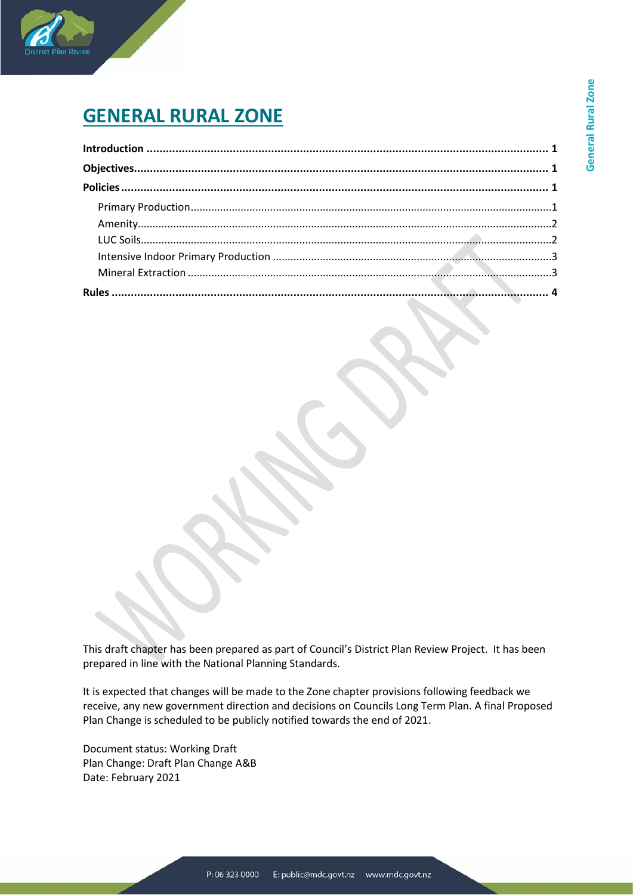

# **GENERAL RURAL ZONE**

This draft chapter has been prepared as part of Council's District Plan Review Project.  It has been prepared in line with the National Planning Standards. 

It is expected that changes will be made to the Zone chapter provisions following feedback we receive, any new government direction and decisions on Councils Long Term Plan. A final Proposed Plan Change is scheduled to be publicly notified towards the end of 2021. 

Document status: Working Draft  Plan Change: Draft Plan Change A&B  Date: February 2021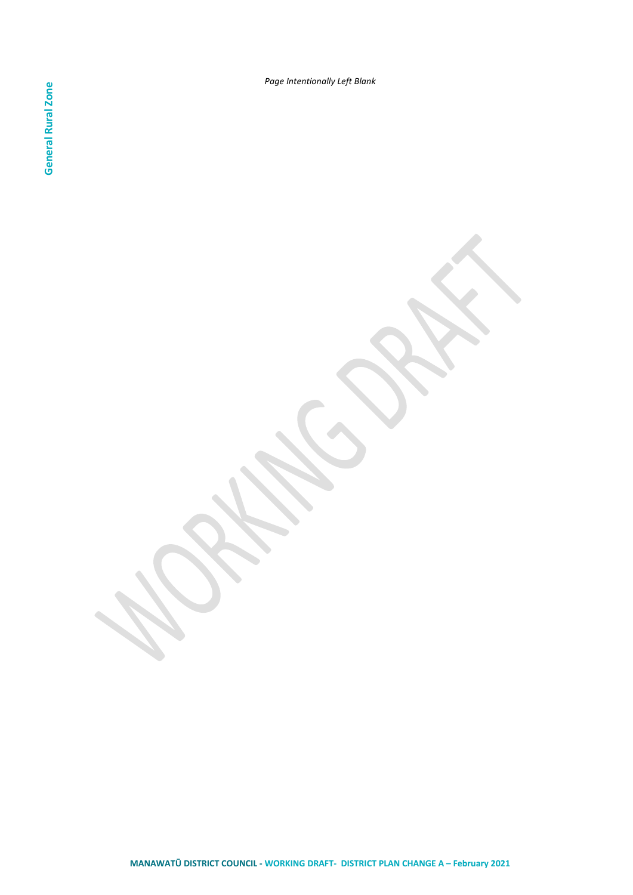*Page Intentionally Left Blank*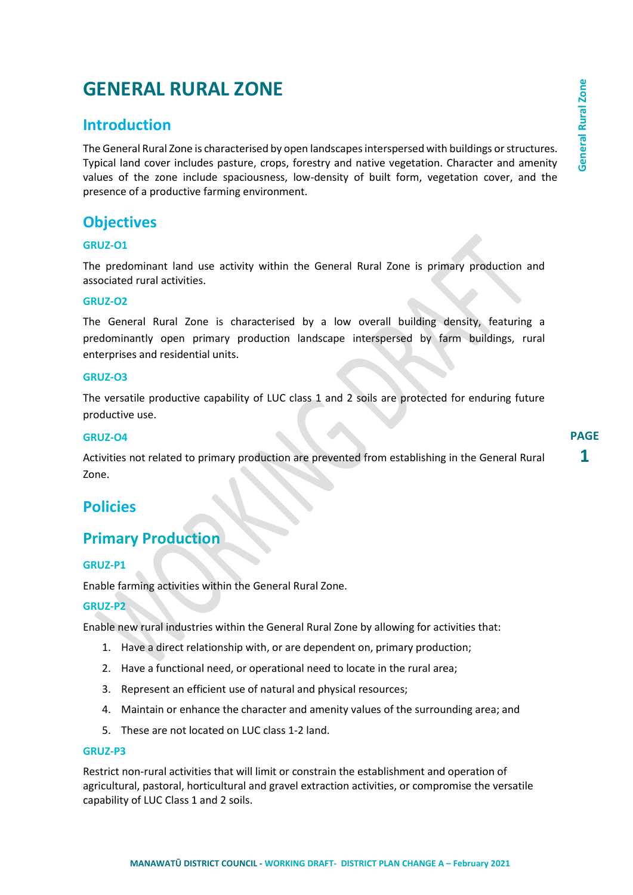**PAGE 1**

# **GENERAL RURAL ZONE**

## <span id="page-2-0"></span>**Introduction**

The General Rural Zone is characterised by open landscapes interspersed with buildings or structures. Typical land cover includes pasture, crops, forestry and native vegetation. Character and amenity values of the zone include spaciousness, low-density of built form, vegetation cover, and the presence of a productive farming environment.

## <span id="page-2-1"></span>**Objectives**

### **GRUZ-O1**

The predominant land use activity within the General Rural Zone is primary production and associated rural activities.

### **GRUZ-O2**

The General Rural Zone is characterised by a low overall building density, featuring a predominantly open primary production landscape interspersed by farm buildings, rural enterprises and residential units.

### **GRUZ-O3**

The versatile productive capability of LUC class 1 and 2 soils are protected for enduring future productive use.

### **GRUZ-O4**

Activities not related to primary production are prevented from establishing in the General Rural Zone.

## <span id="page-2-2"></span>**Policies**

## <span id="page-2-3"></span>**Primary Production**

### **GRUZ-P1**

Enable farming activities within the General Rural Zone.

### **GRUZ-P2**

Enable new rural industries within the General Rural Zone by allowing for activities that:

- 1. Have a direct relationship with, or are dependent on, primary production;
- 2. Have a functional need, or operational need to locate in the rural area;
- 3. Represent an efficient use of natural and physical resources;
- 4. Maintain or enhance the character and amenity values of the surrounding area; and
- 5. These are not located on LUC class 1-2 land.

### **GRUZ-P3**

Restrict non-rural activities that will limit or constrain the establishment and operation of agricultural, pastoral, horticultural and gravel extraction activities, or compromise the versatile capability of LUC Class 1 and 2 soils.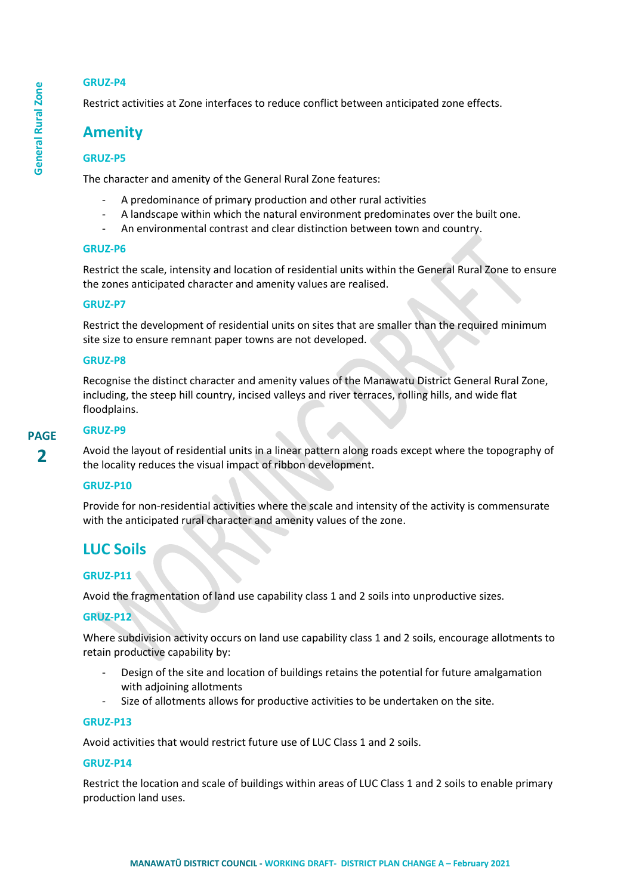### **GRUZ-P4**

Restrict activities at Zone interfaces to reduce conflict between anticipated zone effects.

## <span id="page-3-0"></span>**Amenity**

### **GRUZ-P5**

The character and amenity of the General Rural Zone features:

- A predominance of primary production and other rural activities
- A landscape within which the natural environment predominates over the built one.
- An environmental contrast and clear distinction between town and country.

### **GRUZ-P6**

Restrict the scale, intensity and location of residential units within the General Rural Zone to ensure the zones anticipated character and amenity values are realised.

### **GRUZ-P7**

Restrict the development of residential units on sites that are smaller than the required minimum site size to ensure remnant paper towns are not developed.

### **GRUZ-P8**

Recognise the distinct character and amenity values of the Manawatu District General Rural Zone, including, the steep hill country, incised valleys and river terraces, rolling hills, and wide flat floodplains.

#### **PAGE GRUZ-P9**

**2**

Avoid the layout of residential units in a linear pattern along roads except where the topography of the locality reduces the visual impact of ribbon development.

### **GRUZ-P10**

Provide for non-residential activities where the scale and intensity of the activity is commensurate with the anticipated rural character and amenity values of the zone.

## <span id="page-3-1"></span>**LUC Soils**

### **GRUZ-P11**

Avoid the fragmentation of land use capability class 1 and 2 soils into unproductive sizes.

### **GRUZ-P12**

Where subdivision activity occurs on land use capability class 1 and 2 soils, encourage allotments to retain productive capability by:

- Design of the site and location of buildings retains the potential for future amalgamation with adjoining allotments
- Size of allotments allows for productive activities to be undertaken on the site.

### **GRUZ-P13**

Avoid activities that would restrict future use of LUC Class 1 and 2 soils.

### **GRUZ-P14**

Restrict the location and scale of buildings within areas of LUC Class 1 and 2 soils to enable primary production land uses.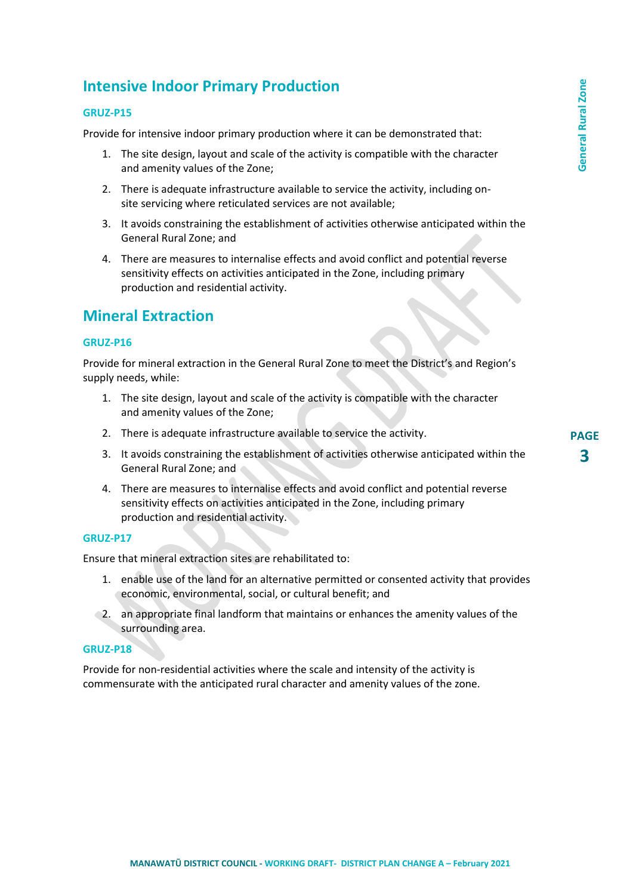## <span id="page-4-0"></span>**Intensive Indoor Primary Production**

### **GRUZ-P15**

Provide for intensive indoor primary production where it can be demonstrated that:

- 1. The site design, layout and scale of the activity is compatible with the character and amenity values of the Zone;
- 2. There is adequate infrastructure available to service the activity, including onsite servicing where reticulated services are not available;
- 3. It avoids constraining the establishment of activities otherwise anticipated within the General Rural Zone; and
- 4. There are measures to internalise effects and avoid conflict and potential reverse sensitivity effects on activities anticipated in the Zone, including primary production and residential activity.

## <span id="page-4-1"></span>**Mineral Extraction**

### **GRUZ-P16**

Provide for mineral extraction in the General Rural Zone to meet the District's and Region's supply needs, while:

- 1. The site design, layout and scale of the activity is compatible with the character and amenity values of the Zone;
- 2. There is adequate infrastructure available to service the activity.
- 3. It avoids constraining the establishment of activities otherwise anticipated within the General Rural Zone; and
- 4. There are measures to internalise effects and avoid conflict and potential reverse sensitivity effects on activities anticipated in the Zone, including primary production and residential activity.

### **GRUZ-P17**

Ensure that mineral extraction sites are rehabilitated to:

- 1. enable use of the land for an alternative permitted or consented activity that provides economic, environmental, social, or cultural benefit; and
- 2. an appropriate final landform that maintains or enhances the amenity values of the surrounding area.

### **GRUZ-P18**

Provide for non-residential activities where the scale and intensity of the activity is commensurate with the anticipated rural character and amenity values of the zone.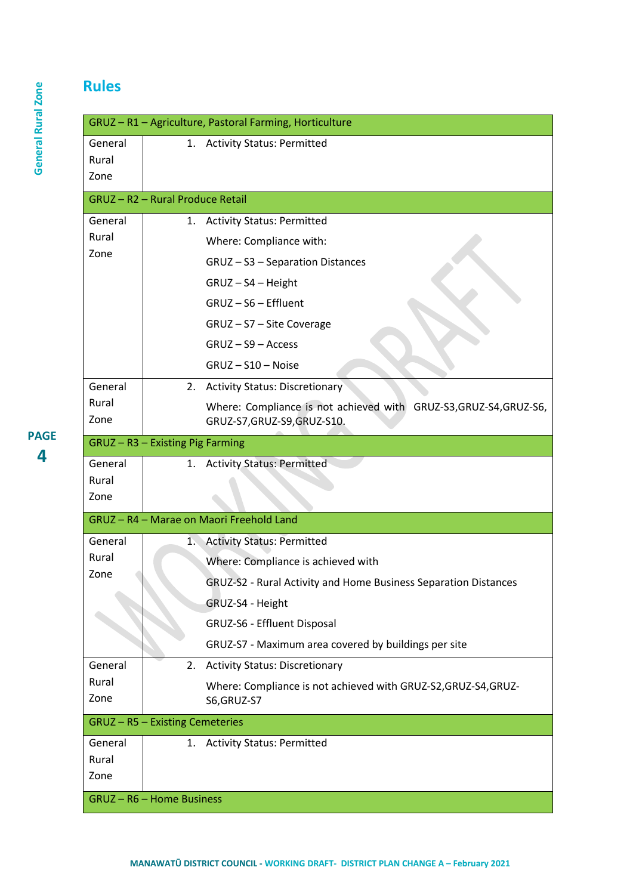## <span id="page-5-0"></span>**Rules**

|                          | GRUZ - R1 - Agriculture, Pastoral Farming, Horticulture                                                 |
|--------------------------|---------------------------------------------------------------------------------------------------------|
| General<br>Rural<br>Zone | 1. Activity Status: Permitted                                                                           |
|                          | GRUZ - R2 - Rural Produce Retail                                                                        |
| General                  | <b>Activity Status: Permitted</b><br>1.                                                                 |
| Rural<br>Zone            | Where: Compliance with:                                                                                 |
|                          | GRUZ-S3-Separation Distances                                                                            |
|                          | $GRUZ - S4 - Height$                                                                                    |
|                          | GRUZ-S6-Effluent                                                                                        |
|                          | GRUZ-S7-Site Coverage                                                                                   |
|                          | $GRUZ - S9 - Access$                                                                                    |
|                          | GRUZ-S10-Noise                                                                                          |
| General                  | <b>Activity Status: Discretionary</b><br>2.                                                             |
| Rural                    | Where: Compliance is not achieved with GRUZ-S3, GRUZ-S4, GRUZ-S6,                                       |
| Zone                     | GRUZ-S7, GRUZ-S9, GRUZ-S10.                                                                             |
|                          | GRUZ-R3-Existing Pig Farming                                                                            |
| General                  | 1. Activity Status: Permitted                                                                           |
|                          |                                                                                                         |
| Rural<br>Zone            |                                                                                                         |
|                          |                                                                                                         |
|                          | GRUZ - R4 - Marae on Maori Freehold Land                                                                |
| General<br>Rural         | 1. Activity Status: Permitted                                                                           |
| Zone                     | Where: Compliance is achieved with                                                                      |
|                          | GRUZ-S2 - Rural Activity and Home Business Separation Distances                                         |
|                          | GRUZ-S4 - Height                                                                                        |
|                          | GRUZ-S6 - Effluent Disposal<br>GRUZ-S7 - Maximum area covered by buildings per site                     |
| General                  | 2.                                                                                                      |
| Rural                    | <b>Activity Status: Discretionary</b><br>Where: Compliance is not achieved with GRUZ-S2, GRUZ-S4, GRUZ- |
| Zone                     | S6,GRUZ-S7                                                                                              |
|                          | <b>GRUZ-R5-Existing Cemeteries</b>                                                                      |
| General                  | 1. Activity Status: Permitted                                                                           |
| Rural                    |                                                                                                         |
| Zone                     | <b>GRUZ-R6-Home Business</b>                                                                            |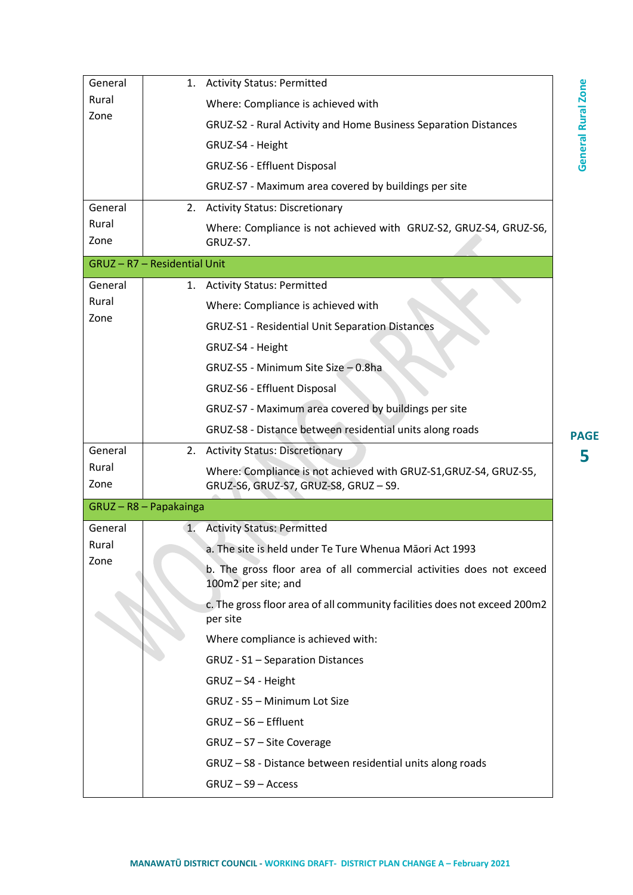General Rural Zone **General Rural Zone**

| Rural         | 1.                              | <b>Activity Status: Permitted</b>                                                                          |
|---------------|---------------------------------|------------------------------------------------------------------------------------------------------------|
|               |                                 | Where: Compliance is achieved with                                                                         |
| Zone          |                                 | GRUZ-S2 - Rural Activity and Home Business Separation Distances                                            |
|               |                                 | GRUZ-S4 - Height                                                                                           |
|               |                                 | GRUZ-S6 - Effluent Disposal                                                                                |
|               |                                 | GRUZ-S7 - Maximum area covered by buildings per site                                                       |
| General       | 2.                              | <b>Activity Status: Discretionary</b>                                                                      |
| Rural<br>Zone |                                 | Where: Compliance is not achieved with GRUZ-S2, GRUZ-S4, GRUZ-S6,<br>GRUZ-S7.                              |
|               | <b>GRUZ-R7-Residential Unit</b> |                                                                                                            |
| General       | 1.                              | <b>Activity Status: Permitted</b>                                                                          |
| Rural         |                                 | Where: Compliance is achieved with                                                                         |
| Zone          |                                 | <b>GRUZ-S1 - Residential Unit Separation Distances</b>                                                     |
|               |                                 | GRUZ-S4 - Height                                                                                           |
|               |                                 | GRUZ-S5 - Minimum Site Size - 0.8ha                                                                        |
|               |                                 | GRUZ-S6 - Effluent Disposal                                                                                |
|               |                                 | GRUZ-S7 - Maximum area covered by buildings per site                                                       |
|               |                                 | GRUZ-S8 - Distance between residential units along roads                                                   |
| General       | 2.                              | <b>Activity Status: Discretionary</b>                                                                      |
| Rural<br>Zone |                                 | Where: Compliance is not achieved with GRUZ-S1, GRUZ-S4, GRUZ-S5,<br>GRUZ-S6, GRUZ-S7, GRUZ-S8, GRUZ - S9. |
|               | GRUZ-R8-Papakainga              |                                                                                                            |
|               |                                 |                                                                                                            |
| General       | $\overline{1}$ .                | <b>Activity Status: Permitted</b>                                                                          |
| Rural         |                                 | a. The site is held under Te Ture Whenua Māori Act 1993                                                    |
| Zone          |                                 | b. The gross floor area of all commercial activities does not exceed<br>100m2 per site; and                |
|               |                                 | c. The gross floor area of all community facilities does not exceed 200m2<br>per site                      |
|               |                                 | Where compliance is achieved with:                                                                         |
|               |                                 | GRUZ - S1 - Separation Distances                                                                           |
|               |                                 | GRUZ-S4 - Height                                                                                           |
|               |                                 | GRUZ - S5 - Minimum Lot Size                                                                               |
|               |                                 | GRUZ-S6-Effluent                                                                                           |
|               |                                 | GRUZ-S7-Site Coverage                                                                                      |
|               |                                 | GRUZ-S8 - Distance between residential units along roads                                                   |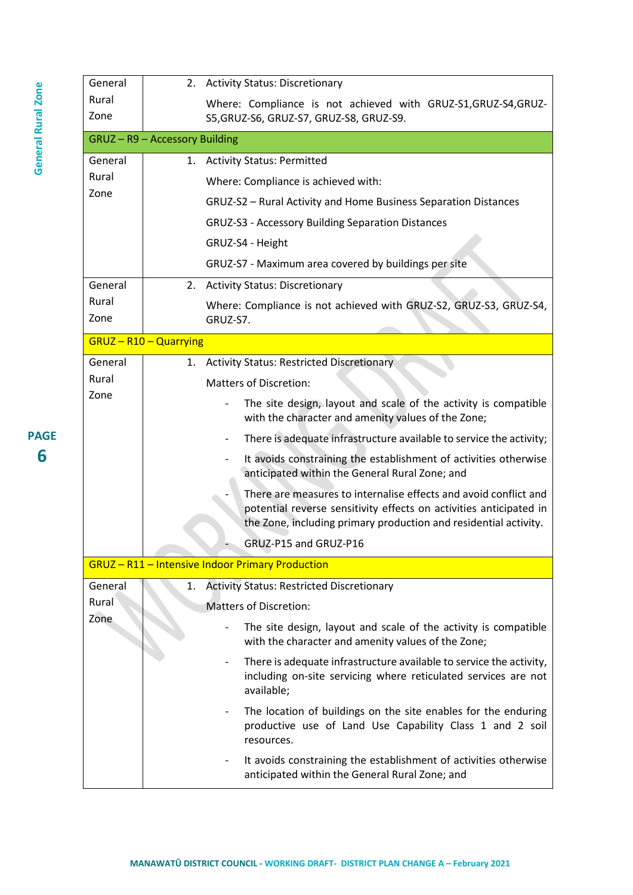| General       | 2. Activity Status: Discretionary                                                                                                                                                                          |
|---------------|------------------------------------------------------------------------------------------------------------------------------------------------------------------------------------------------------------|
| Rural<br>Zone | Where: Compliance is not achieved with GRUZ-S1, GRUZ-S4, GRUZ-<br>S5, GRUZ-S6, GRUZ-S7, GRUZ-S8, GRUZ-S9.                                                                                                  |
|               | GRUZ-R9-Accessory Building                                                                                                                                                                                 |
| General       | 1. Activity Status: Permitted                                                                                                                                                                              |
| Rural         | Where: Compliance is achieved with:                                                                                                                                                                        |
| Zone          | GRUZ-S2 - Rural Activity and Home Business Separation Distances                                                                                                                                            |
|               | <b>GRUZ-S3 - Accessory Building Separation Distances</b>                                                                                                                                                   |
|               | GRUZ-S4 - Height                                                                                                                                                                                           |
|               | GRUZ-S7 - Maximum area covered by buildings per site                                                                                                                                                       |
| General       | <b>Activity Status: Discretionary</b><br>2.                                                                                                                                                                |
| Rural<br>Zone | Where: Compliance is not achieved with GRUZ-S2, GRUZ-S3, GRUZ-S4,<br>GRUZ-S7.                                                                                                                              |
|               | $GRUZ - R10 - Quarrying$                                                                                                                                                                                   |
| General       | 1. Activity Status: Restricted Discretionary                                                                                                                                                               |
| Rural         | <b>Matters of Discretion:</b>                                                                                                                                                                              |
| Zone          | The site design, layout and scale of the activity is compatible<br>with the character and amenity values of the Zone;                                                                                      |
|               | There is adequate infrastructure available to service the activity;                                                                                                                                        |
|               | It avoids constraining the establishment of activities otherwise<br>anticipated within the General Rural Zone; and                                                                                         |
|               | There are measures to internalise effects and avoid conflict and<br>potential reverse sensitivity effects on activities anticipated in<br>the Zone, including primary production and residential activity. |
|               | GRUZ-P15 and GRUZ-P16                                                                                                                                                                                      |
|               | <b>GRUZ-R11-Intensive Indoor Primary Production</b>                                                                                                                                                        |
| General       | <b>Activity Status: Restricted Discretionary</b><br>1.                                                                                                                                                     |
| Rural         | <b>Matters of Discretion:</b>                                                                                                                                                                              |
| Zone          | The site design, layout and scale of the activity is compatible<br>with the character and amenity values of the Zone;                                                                                      |
|               | There is adequate infrastructure available to service the activity,<br>including on-site servicing where reticulated services are not<br>available;                                                        |
|               | The location of buildings on the site enables for the enduring<br>productive use of Land Use Capability Class 1 and 2 soil<br>resources.                                                                   |
|               | It avoids constraining the establishment of activities otherwise<br>anticipated within the General Rural Zone; and                                                                                         |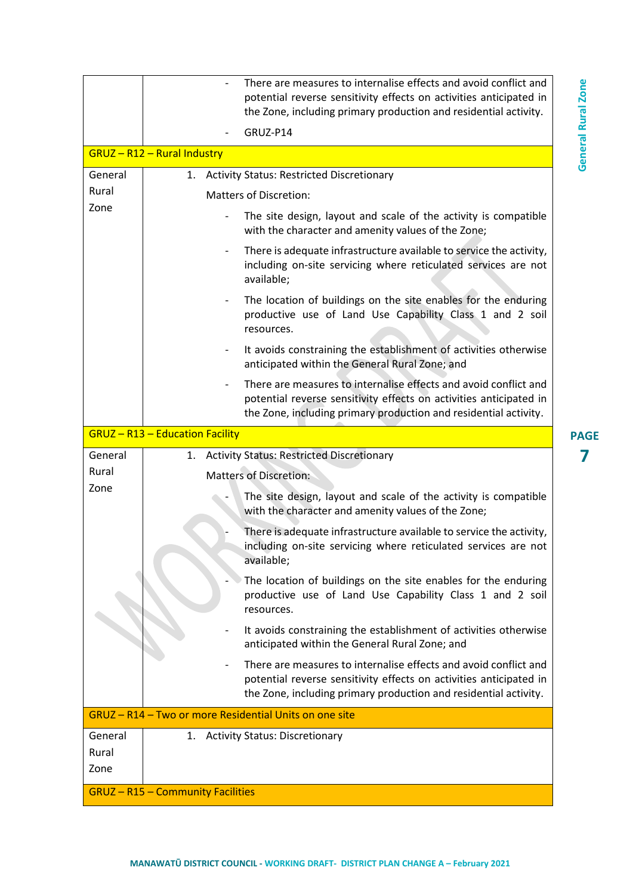|         |                               | There are measures to internalise effects and avoid conflict and<br>potential reverse sensitivity effects on activities anticipated in                                                                     |
|---------|-------------------------------|------------------------------------------------------------------------------------------------------------------------------------------------------------------------------------------------------------|
|         |                               | the Zone, including primary production and residential activity.                                                                                                                                           |
|         |                               | GRUZ-P14                                                                                                                                                                                                   |
|         | $GRUZ - R12 - Rural Industry$ |                                                                                                                                                                                                            |
| General |                               | 1. Activity Status: Restricted Discretionary                                                                                                                                                               |
| Rural   |                               | <b>Matters of Discretion:</b>                                                                                                                                                                              |
| Zone    | $\overline{\phantom{a}}$      | The site design, layout and scale of the activity is compatible<br>with the character and amenity values of the Zone;                                                                                      |
|         | $\overline{\phantom{a}}$      | There is adequate infrastructure available to service the activity,<br>including on-site servicing where reticulated services are not<br>available;                                                        |
|         | $\overline{\phantom{a}}$      | The location of buildings on the site enables for the enduring<br>productive use of Land Use Capability Class 1 and 2 soil<br>resources.                                                                   |
|         |                               | It avoids constraining the establishment of activities otherwise<br>anticipated within the General Rural Zone; and                                                                                         |
|         |                               | There are measures to internalise effects and avoid conflict and<br>potential reverse sensitivity effects on activities anticipated in<br>the Zone, including primary production and residential activity. |
|         | GRUZ-R13-Education Facility   |                                                                                                                                                                                                            |
| General |                               | 1. Activity Status: Restricted Discretionary                                                                                                                                                               |
|         |                               |                                                                                                                                                                                                            |
| Rural   |                               | <b>Matters of Discretion:</b>                                                                                                                                                                              |
| Zone    |                               | The site design, layout and scale of the activity is compatible<br>with the character and amenity values of the Zone;                                                                                      |
|         |                               | There is adequate infrastructure available to service the activity,<br>including on-site servicing where reticulated services are not<br>available;                                                        |
|         |                               | The location of buildings on the site enables for the enduring<br>productive use of Land Use Capability Class 1 and 2 soil<br>resources.                                                                   |
|         |                               | It avoids constraining the establishment of activities otherwise<br>anticipated within the General Rural Zone; and                                                                                         |
|         |                               | There are measures to internalise effects and avoid conflict and<br>potential reverse sensitivity effects on activities anticipated in<br>the Zone, including primary production and residential activity. |
|         |                               | GRUZ - R14 - Two or more Residential Units on one site                                                                                                                                                     |
| General |                               | 1. Activity Status: Discretionary                                                                                                                                                                          |
| Rural   |                               |                                                                                                                                                                                                            |
| Zone    |                               |                                                                                                                                                                                                            |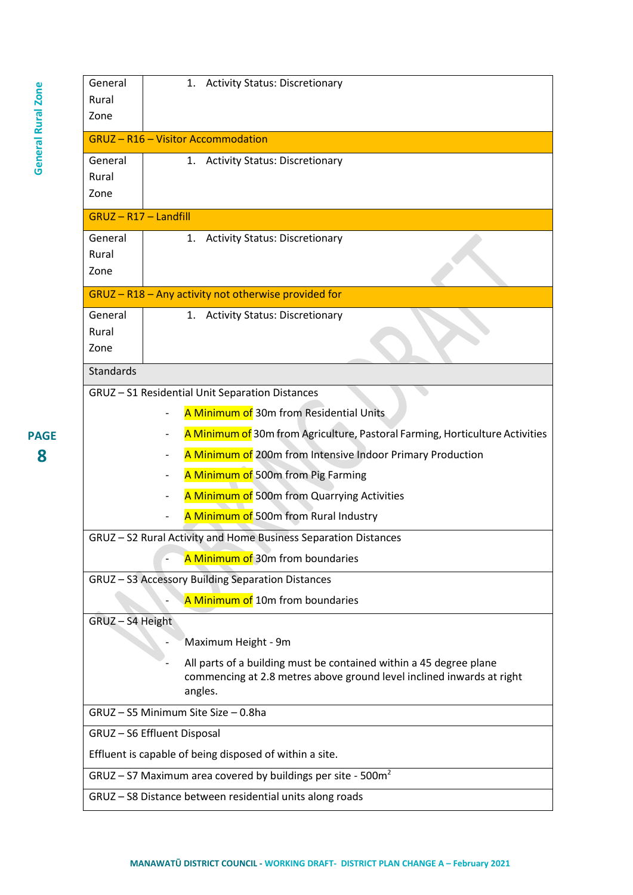| General           | 1. Activity Status: Discretionary                                                                        |
|-------------------|----------------------------------------------------------------------------------------------------------|
| Rural             |                                                                                                          |
| Zone              |                                                                                                          |
|                   | GRUZ - R16 - Visitor Accommodation                                                                       |
| General           | 1. Activity Status: Discretionary                                                                        |
| Rural             |                                                                                                          |
| Zone              |                                                                                                          |
| GRUZ-R17-Landfill |                                                                                                          |
| General           | <b>Activity Status: Discretionary</b><br>1.                                                              |
| Rural             |                                                                                                          |
| Zone              |                                                                                                          |
|                   | GRUZ-R18-Any activity not otherwise provided for                                                         |
| General           | 1. Activity Status: Discretionary                                                                        |
| Rural             |                                                                                                          |
| Zone              |                                                                                                          |
| <b>Standards</b>  |                                                                                                          |
|                   | GRUZ-S1 Residential Unit Separation Distances                                                            |
|                   | A Minimum of 30m from Residential Units                                                                  |
|                   | A Minimum of 30m from Agriculture, Pastoral Farming, Horticulture Activities<br>$\overline{\phantom{a}}$ |
|                   | A Minimum of 200m from Intensive Indoor Primary Production                                               |
|                   | A Minimum of 500m from Pig Farming                                                                       |
|                   | A Minimum of 500m from Quarrying Activities<br>$\qquad \qquad \blacksquare$                              |
|                   | A Minimum of 500m from Rural Industry                                                                    |
|                   | GRUZ - S2 Rural Activity and Home Business Separation Distances                                          |
|                   | A Minimum of 30m from boundaries                                                                         |
|                   | GRUZ-S3 Accessory Building Separation Distances                                                          |
|                   | A Minimum of 10m from boundaries                                                                         |
| GRUZ-S4 Height    |                                                                                                          |
|                   | Maximum Height - 9m                                                                                      |
|                   | All parts of a building must be contained within a 45 degree plane                                       |
|                   | commencing at 2.8 metres above ground level inclined inwards at right                                    |
|                   | angles.                                                                                                  |
|                   | GRUZ-S5 Minimum Site Size-0.8ha                                                                          |
|                   | GRUZ-S6 Effluent Disposal                                                                                |
|                   | Effluent is capable of being disposed of within a site.                                                  |
|                   | GRUZ – S7 Maximum area covered by buildings per site - 500 $m2$                                          |
|                   | GRUZ-S8 Distance between residential units along roads                                                   |
|                   |                                                                                                          |

**MANAWATŪ DISTRICT COUNCIL - WORKING DRAFT- DISTRICT PLAN CHANGE A – February 2021**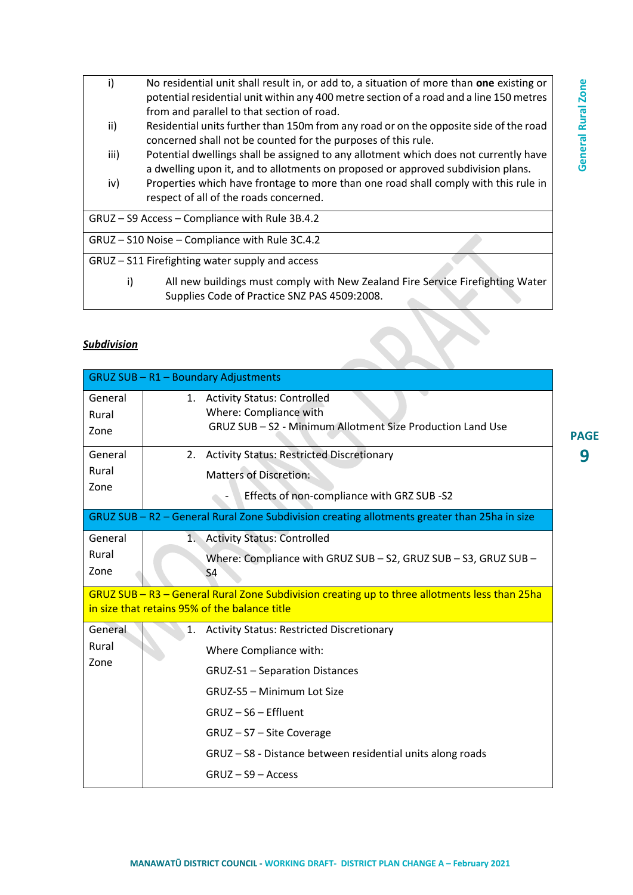i) No residential unit shall result in, or add to, a situation of more than **one** existing or potential residential unit within any 400 metre section of a road and a line 150 metres from and parallel to that section of road. ii) Residential units further than 150m from any road or on the opposite side of the road concerned shall not be counted for the purposes of this rule. iii) Potential dwellings shall be assigned to any allotment which does not currently have a dwelling upon it, and to allotments on proposed or approved subdivision plans. iv) Properties which have frontage to more than one road shall comply with this rule in respect of all of the roads concerned. GRUZ – S9 Access – Compliance with Rule 3B.4.2 GRUZ – S10 Noise – Compliance with Rule 3C.4.2 GRUZ – S11 Firefighting water supply and access i) All new buildings must comply with New Zealand Fire Service Firefighting Water Supplies Code of Practice SNZ PAS 4509:2008.

### *Subdivision*

|                          | <b>GRUZ SUB - R1 - Boundary Adjustments</b>                                                                                                                                                                                                                                              |
|--------------------------|------------------------------------------------------------------------------------------------------------------------------------------------------------------------------------------------------------------------------------------------------------------------------------------|
| General<br>Rural<br>Zone | <b>Activity Status: Controlled</b><br>1.<br>Where: Compliance with<br>GRUZ SUB - S2 - Minimum Allotment Size Production Land Use                                                                                                                                                         |
| General<br>Rural<br>Zone | 2. Activity Status: Restricted Discretionary<br><b>Matters of Discretion:</b><br>Effects of non-compliance with GRZ SUB -S2<br>GRUZ SUB - R2 - General Rural Zone Subdivision creating allotments greater than 25ha in size                                                              |
| General<br>Rural<br>Zone | <b>Activity Status: Controlled</b><br>1.<br>Where: Compliance with GRUZ SUB - S2, GRUZ SUB - S3, GRUZ SUB -<br>S <sub>4</sub>                                                                                                                                                            |
|                          | GRUZ SUB - R3 - General Rural Zone Subdivision creating up to three allotments less than 25ha<br>in size that retains 95% of the balance title                                                                                                                                           |
| General<br>Rural<br>Zone | <b>Activity Status: Restricted Discretionary</b><br>1.<br>Where Compliance with:<br><b>GRUZ-S1 - Separation Distances</b><br>GRUZ-S5 - Minimum Lot Size<br>GRUZ-S6-Effluent<br>GRUZ-S7-Site Coverage<br>GRUZ-S8 - Distance between residential units along roads<br>$GRUZ - S9 - Access$ |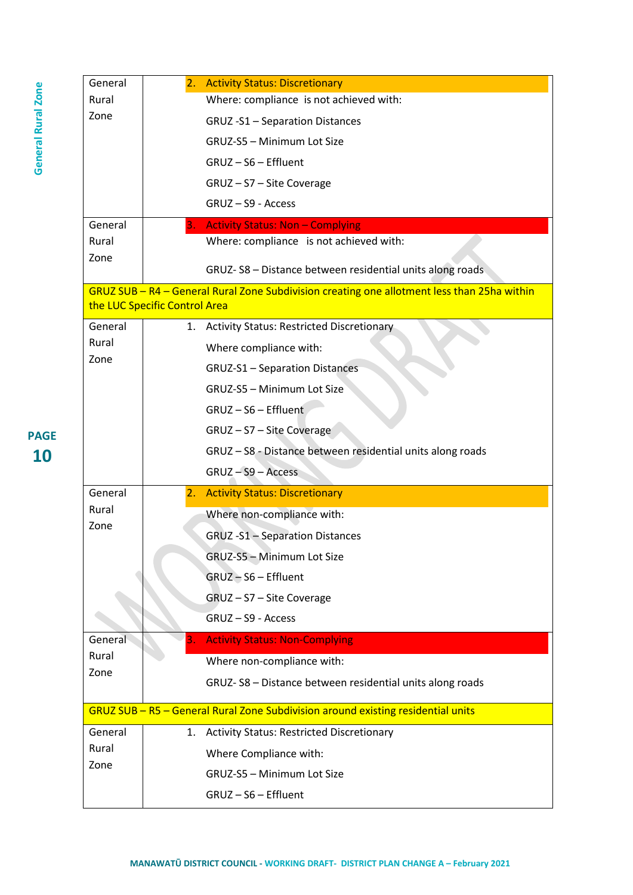| General          |                               | 2. Activity Status: Discretionary                                                           |
|------------------|-------------------------------|---------------------------------------------------------------------------------------------|
| Rural            |                               | Where: compliance is not achieved with:                                                     |
| Zone             |                               | <b>GRUZ-S1-Separation Distances</b>                                                         |
|                  |                               | GRUZ-S5 - Minimum Lot Size                                                                  |
|                  |                               | GRUZ-S6-Effluent                                                                            |
|                  |                               | GRUZ-S7-Site Coverage                                                                       |
|                  |                               | GRUZ-S9 - Access                                                                            |
| General          |                               | 3. Activity Status: Non - Complying                                                         |
| Rural            |                               | Where: compliance is not achieved with:                                                     |
| Zone             |                               | GRUZ-S8 - Distance between residential units along roads                                    |
|                  |                               | GRUZ SUB - R4 - General Rural Zone Subdivision creating one allotment less than 25ha within |
|                  | the LUC Specific Control Area |                                                                                             |
| General<br>Rural |                               | 1. Activity Status: Restricted Discretionary                                                |
| Zone             |                               | Where compliance with:                                                                      |
|                  |                               | <b>GRUZ-S1 - Separation Distances</b>                                                       |
|                  |                               | GRUZ-S5 - Minimum Lot Size                                                                  |
|                  |                               | GRUZ-S6-Effluent                                                                            |
|                  |                               | GRUZ-S7-Site Coverage                                                                       |
|                  |                               | GRUZ - S8 - Distance between residential units along roads                                  |
|                  |                               | GRUZ-S9-Access                                                                              |
| General          |                               | 2. Activity Status: Discretionary                                                           |
| Rural            |                               | Where non-compliance with:                                                                  |
| Zone             |                               | <b>GRUZ-S1-Separation Distances</b>                                                         |
|                  |                               | GRUZ-S5 - Minimum Lot Size                                                                  |
|                  |                               | GRUZ-S6-Effluent                                                                            |
|                  |                               | GRUZ-S7-Site Coverage                                                                       |
|                  |                               | GRUZ-S9 - Access                                                                            |
| General          | 3.                            | <b>Activity Status: Non-Complying</b>                                                       |
| Rural            |                               | Where non-compliance with:                                                                  |
| Zone             |                               | GRUZ-S8-Distance between residential units along roads                                      |
|                  |                               | GRUZ SUB - R5 - General Rural Zone Subdivision around existing residential units            |
| General          |                               | 1. Activity Status: Restricted Discretionary                                                |
| Rural            |                               | Where Compliance with:                                                                      |
| Zone             |                               | GRUZ-S5 - Minimum Lot Size                                                                  |
|                  |                               | GRUZ-S6-Effluent                                                                            |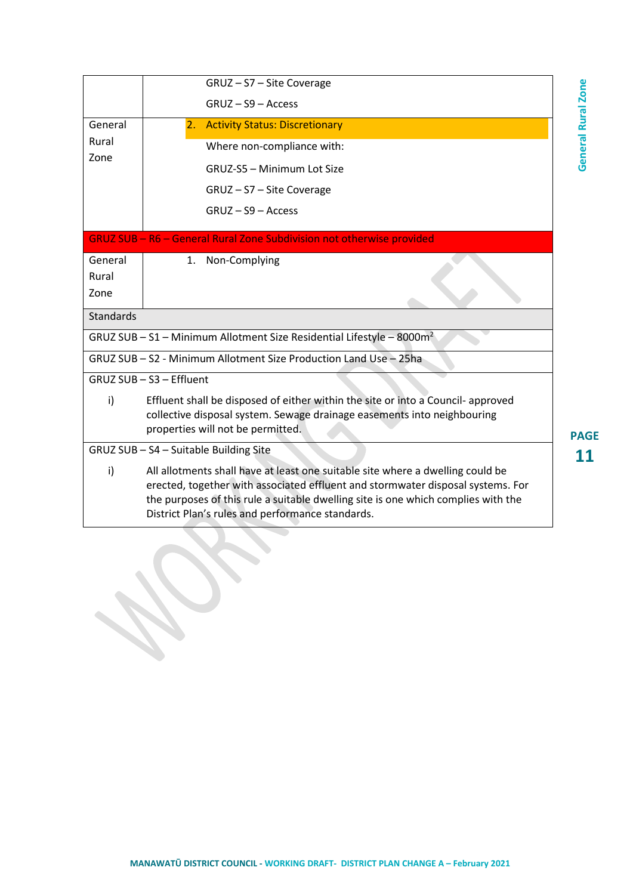| GRUZ-S7-Site Coverage                                                                                                                                                                                                                                  |
|--------------------------------------------------------------------------------------------------------------------------------------------------------------------------------------------------------------------------------------------------------|
| $GRUZ - S9 - Access$                                                                                                                                                                                                                                   |
| <b>Activity Status: Discretionary</b><br>2.                                                                                                                                                                                                            |
| Where non-compliance with:                                                                                                                                                                                                                             |
| GRUZ-S5 - Minimum Lot Size                                                                                                                                                                                                                             |
| GRUZ-S7-Site Coverage                                                                                                                                                                                                                                  |
| $GRUZ - S9 - Access$                                                                                                                                                                                                                                   |
| GRUZ SUB - R6 - General Rural Zone Subdivision not otherwise provided                                                                                                                                                                                  |
| Non-Complying<br>1.                                                                                                                                                                                                                                    |
|                                                                                                                                                                                                                                                        |
|                                                                                                                                                                                                                                                        |
|                                                                                                                                                                                                                                                        |
| GRUZ SUB - S1 - Minimum Allotment Size Residential Lifestyle - 8000 $m^2$                                                                                                                                                                              |
| GRUZ SUB - S2 - Minimum Allotment Size Production Land Use - 25ha                                                                                                                                                                                      |
| GRUZ SUB - S3 - Effluent                                                                                                                                                                                                                               |
| Effluent shall be disposed of either within the site or into a Council-approved<br>collective disposal system. Sewage drainage easements into neighbouring<br>properties will not be permitted.                                                        |
| GRUZ SUB - S4 - Suitable Building Site                                                                                                                                                                                                                 |
| All allotments shall have at least one suitable site where a dwelling could be<br>erected, together with associated effluent and stormwater disposal systems. For<br>the purposes of this rule a suitable dwelling site is one which complies with the |
|                                                                                                                                                                                                                                                        |

**SAS** 

**PAGE 11**

**General Rural Zone**

General Rural Zone